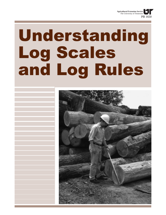

# Understanding Log Scales and Log Rules

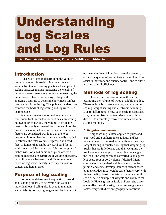# Understanding Log Scales and Log Rules

**Brian Bond, Assistant Professor, Forestry, Wildlife and Fisheries**

# Introduction

A necessary step in determining the value of timber at the mill is establishing the estimated volume by standard scaling practices. Examples of scaling practices include measuring the weight of pulpwood to estimate the volume and measuring the dimensions of hardwood sawlogs, along with applying a log rule to determine how much lumber can be sawn from the log. This publication describes common methods of log scaling and log rules used in Tennessee.

Scaling estimates the log volume on a board foot, cubic foot, linear foot or cord basis. In scaling pulpwood or chipwood, the volume of available material is usually estimated from the weight of the product, where moisture content, species and other factors are considered. For logs that are to be processed into lumber, log rules are usually applied to estimate the total volume (expressed in board feet) of lumber that can be sawn. A board foot is equivalent to a 1 inch thick by 12 inches long by 12 inches wide, or a 144 cubic-inch piece of wood. Scaling methods are *estimates* of volume; therefore, variability exists between the different methods based on log shape, density, size, taper, moisture content and human error.

# Purpose of log scaling

Log scaling determines the quantity of wood and is done primarily to determine the value of individual logs. Scaling also is used to maintain accountability for paying loggers and landowners, to evaluate the financial performance of a sawmill, to ensure the quality of logs entering the mill yard, to assist in inventory and quality control, and to allow tracking of mill efficiency.

# Methods of log scaling

There are several common methods for estimating the volume of wood available in a log. These include board-foot scaling, cubic volume scaling, weight scaling and electronic scanning. Due to differences in how each scale incorporates size, taper, moisture content, density, etc., it is difficult to accurately convert volumes between scaling methods.

## *1. Weight-scaling methods*

Weight scaling is often applied to pulpwood, chipwood and Southern pine sawlogs, and has recently begun to be used with hardwood saw logs. Weight scaling is usually done by first weighing log trucks that are fully loaded and then weighing the truck again when empty to determine the weight of the load. The weight can be converted to an equivalent board foot or cord volume if desired. Many companies use standard weight-scale factors for pricing, and some develop their own factors based on their product mix. Weight-scale factors vary with timber quality, density, moisture content and mill efficiency. An example of weights and volumes for Loblolly Pine is given in Table 1. Forest site differences effect wood density; therefore, weight scale factors vary with different geographic locations.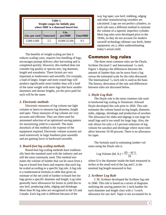| Table 1.<br>Weight ranges for lobiolly pine<br>where MBF is a thousand board feet. |                  |                 |                 |  |  |
|------------------------------------------------------------------------------------|------------------|-----------------|-----------------|--|--|
| Lbs. per cord                                                                      | <b>Tons/cord</b> | Lbs.<br>per/MBF | <b>Tons/MBF</b> |  |  |
| 5,000-5,600                                                                        | 2.5              | 19,000-22,500   | 9.5             |  |  |

The benefits of weight scaling are that it reduces scaling costs, requires less handling of logs, encourages prompt delivery after harvesting and is completed quickly. However, this method does not consider log quality or species mix, log diameter, length and soundness. These factors are very important to landowners and sawmills. For example, a load of larger, longer and more sound logs will produce significantly more lumber than will a load of the same weight with more logs that have smaller diameters and shorter lengths, yet the price paid for each will be the same.

#### *2. Electronic methods*

Electronic measures of log volume use light curtains or lasers to measure log diameter, length and taper. These measures of log volume are very accurate and efficient. They are often used for automated selection of an optimized sawing pattern for maximizing yield in a sawmill. The main drawback of this method is the expense of the equipment required. Electronic volume scanners are used extensively in large Southern pine sawmills and are gaining favor in hardwood sawmills.

#### *3. Board-foot log scaling methods*

Board-foot log scaling methods have traditionally been the standard used with the industry and are still the most commonly used. This method estimates the volume of lumber that can be sawn from a log on a board-foot basis and requires that each log be scaled according to a specific log rule. A log rule is a mathematical formula or table that gives an estimate of the net yield of lumber in board feet for logs given a specific diameter and length. Log rules generally have allowances for losses in yield due to saw kerf, producing slabs, edging and shrinkage. More than 95 log rules are recognized in the US and Canada. Each log rule is different because of the

way log taper, saw kerf, slabbing, edging and other manufacturing variables are calculated. Logs are not perfect cylinders, so each rule uses a different method to estimate the volume of a tapered, imperfect cylinder. Most log rules were developed prior to the 1930s, so they do not account for modern sawmill technology (thinner saw kerfs, better equipment, etc.), often underestimating today's actual yield.

# Common log rules

The three most common rules are the Doyle, Scribner Decimal C and International  $\frac{1}{4}$ -inch. Figure 1 displays the differences between the amount of lumber that can be sawn from a log versus the estimated scale for the rules discussed. The International  $\frac{1}{4}$ -inch rule is used as the base. The history, derivation of the rule and differences between rules are discussed below.

#### *1. Doyle Log Rule*

The Doyle rule is the most common rule used in hardwood log scaling in Tennessee. Edward Doyle developed this rule prior to 1850. This rule estimates the volume based on log length, diameter, slabs, edgings, shrinkage and production of sawdust. The allowance for slabs and edgings is too large for small logs and is too small for large logs. Also, the rule allows for only a 4.5 percent reduction of log volume for sawdust and shrinkage where most rules allow between 10-30 percent. There is no allowance for taper.

The formula used in estimating lumber volumes using the Doyle rule is

Log Volume (bd. ft.) = 
$$
\frac{(D-4)^2 L}{16}
$$

where D is the diameter inside the bark measured in inches at the small end of the log and L is the nominal log length measured in feet.

#### *2. Scribner Log Rule*

J. M. Scribner developed the Scribner log rule in 1846. This rule is based on a series of diagrams outlining the sawing pattern for 1-inch lumber for each diameter and length class with a  $\frac{1}{4}$ -inch allowance for saw kerf. Taper is not accounted for in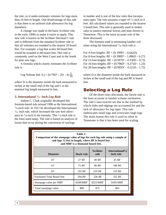the rule, so it under-estimates volumes for logs more than 16 feet in length. One disadvantage of this rule is that there is no uniform slab allowance for log diameters.

A change was made to the basic Scribner rule in the early 1900s to make it easier to apply. This new rule is known as the Scribner Decimal C rule and is different from the standard Scribner rule in that all volumes are rounded to the nearest 10 board feet. For example, a log that scales 64 board feet would be rounded to 60 board feet. This rule is commonly used on the West Coast and in the South for pine saw logs.

A formula which closely estimates the Scribner rule is

Log Volume (bd. ft.) = 
$$
(0.79D^2 - 2D - 4) \frac{L}{16}
$$

where D is the diameter inside the bark measured in inches at the small end of the log and L is the nominal log length measured in feet.

### *3. International 1/4 - inch Log Rule*

Judson C. Clark originally developed this formula-based rule around 1906 as the International  $\frac{1}{8}$ -inch rule. In 1917 he developed the International  $\frac{1}{4}$  inch rule, which increased the saw kerf allowance to  $\frac{1}{4}$ -inch in the formula. This  $\frac{1}{4}$ -inch rule is the form used today. The rule is based on analysis of losses that occur during the conversion of sawlogs

to lumber and is one of the few rules that incorporates taper. The rule assumes a taper of  $\frac{1}{2}$  inch in 4 feet. All calculated values are rounded to the nearest 5 board feet. This rule is generally used in timber sales in eastern national forests and state forests in Tennessee. This is the most accurate rule of the three discussed.

The formula used in estimating lumber volumes using the International  $\frac{1}{4}$ -inch rule is

For 4-foot lengths:  $BF = (0.199D^2 - 0.642D)$ For 8-foot lengths:  $BF = (0.398D^2 - 1.086D - 0.27)$ For 12-foot lengths:  $BF = (0.597D^2 - 0.330D - 0.72)$ For 16-foot lengths:  $BF = (0.796D^2 - 0.375D - 1.23)$ For 20-foot lengths:  $BF = (0.995D^2 - 0.221D - 1.72)$ 

where D is the diameter inside the bark measured in inches at the small end of the log and BF is board feet.

# Selecting a Log Rule

Of the three rules discussed, the Doyle rule is the least accurate in lumber volume estimation. The rule's inaccuracies are due to the method by which slabs and edgings are accounted for and the lack of allowance for log taper. This rule underscales small logs and overscales large logs. The main reason this rule is used so often in Tennessee is that it has been used for scaling

| Table 2.<br>Comparison of the stumpage value of logs for each log rule using a sample of<br>oak logs 12 feet in length, where BF is board feet<br>and MBF is a thousand board feet. |            |                         |                                            |  |  |
|-------------------------------------------------------------------------------------------------------------------------------------------------------------------------------------|------------|-------------------------|--------------------------------------------|--|--|
| <b>Diameter</b>                                                                                                                                                                     | Doyle rule | <b>Scribner</b><br>rule | International <sup>1</sup> /4<br>inch rule |  |  |
| $10^{7}$                                                                                                                                                                            | 27 BF      | 40 BF                   | 45 BF                                      |  |  |
| 14"                                                                                                                                                                                 | 75 BF      | 86 BF                   | 100 BF                                     |  |  |
| $20^{\circ}$                                                                                                                                                                        | 192 BF     | 210 BF                  | 210 BF                                     |  |  |
| <b>Estimated Total Board feet</b>                                                                                                                                                   | 294 BF     | 336 BF                  | 355 BF                                     |  |  |
| Stumpage value per MBF                                                                                                                                                              | \$298/MBF  | \$223/MBF               | \$185/MBF                                  |  |  |
| Total stumpage value                                                                                                                                                                | \$88       | \$75                    | \$65                                       |  |  |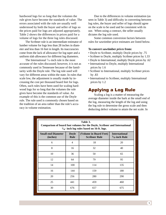hardwood logs for so long that the volumes the rule gives have become the standards of value. The errors associated with the rule are usually well understood by both the buyer and seller of logs so the prices paid for logs are adjusted appropriately. Table 2 shows the differences in prices paid for a volume of logs for the three log rules discussed.

The Scribner rule is an intermediate estimator of lumber volume for logs less than 28 inches in diameter and less than 16 feet in length. Its inaccuracies come from the lack of allowance for log taper and a uniform slab allowance for different log diameters.

The International  $\frac{1}{4}$ -inch rule is the most accurate of the rules discussed; however, it is not as commonly used in Tennessee because of the familiarity with the Doyle rule. The log rule used will vary for different areas within the state. In rules that scale low, the adjustment is usually made by increasing the cost per thousand board feet for logs. Often, such rules have been used for scaling hardwood logs for so long that the volumes the rule gives have become the standards of value. An example of this is the common use of the Doyle rule. The rule used is commonly chosen based on the tradition of an area rather than the rule's accuracy in volume estimation.

Due to the differences in volume estimation (as seen in Table 3) and difficulty in converting between log rules, the buyer and seller of logs should agree on the scale to be used and be consistent with its use. When using a contract, the seller usually dictates the log rule used.

Some common conversion factors between rules for sawtimber price estimates are listed below.

#### **To convert sawtimber** *prices* **from:**

- Doyle to Scribner, multiply Doyle prices by .75
- Scribner to Doyle, multiply Scribner prices by 1.33
- Doyle to International, multiply Doyle prices by .62
- International to Doyle, multiply International prices by 1.6
- Scribner to International, multiply Scribner prices by .83
- International to Scribner, multiply International prices by 1.2

# Applying a Log Rule

Scaling a log is a matter of measuring the average diameter inside the bark at the small end of the log, measuring the length of the log and using the log rule to determine the gross scale and then deducting defect volume to attain the net scale. In

| Table 3.<br>Comparison of board foot volumes for the Doyle, Scribner and International<br>$1/4$ - inch log rules based on 16-ft. logs. |                      |                                                |                                          |  |  |
|----------------------------------------------------------------------------------------------------------------------------------------|----------------------|------------------------------------------------|------------------------------------------|--|--|
| <b>Small-end Diameter</b><br>(inches)                                                                                                  | <b>Doyle</b><br>Rule | (Volume in Board Feet)<br><b>Scribner Rule</b> | <b>International</b><br>$1/4$ -inch Rule |  |  |
| 6                                                                                                                                      | 4                    | 18                                             | 20                                       |  |  |
| 8                                                                                                                                      | 16                   | 32                                             | 40                                       |  |  |
| 10                                                                                                                                     | 36                   | 50                                             | 65                                       |  |  |
| 12                                                                                                                                     | 64                   | 79                                             | 95                                       |  |  |
| 14                                                                                                                                     | 100                  | 114                                            | 135                                      |  |  |
| 16                                                                                                                                     | 144                  | 159                                            | 180                                      |  |  |
| 20                                                                                                                                     | 256                  | 280                                            | 290                                      |  |  |
| 25                                                                                                                                     | 441                  | 459                                            | 460                                      |  |  |
| 30                                                                                                                                     | 676                  | 657                                            | 675                                      |  |  |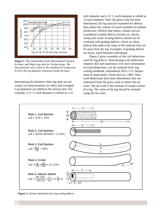

*Figure 1. The relationship of the International* **1/4**-inch*, Scribner and Doyle log rules for 16-foot longs. The International rule is used as the standard of comparison. D.I.B is the log diameter measured inside the bark.*

determining the diameter when log ends are not round, two measurements are taken and averaged. Log diameters are tallied to the nearest inch. For example, a  $12 \frac{1}{4}$ -inch diameter is tallied as a 12-

inch diameter and a  $12 \frac{3}{4}$ -inch diameter is tallied as 13-inch diameter. Once the gross scale has been determined, the log must be examined for defects that reduce the volume of wood available for lumber production. Defects that reduce volume and are considered scalable defects include rot, checks, sweep and crook. Scaling defects should not be confused with grading defects, which are those defects that reduce the value of the material that can be sawn from the log. Examples of grading defects are knots, small branches and bumps.

Figure 2 gives examples of the cull deductions used for log defects. Determining scale deductions requires skill and experience. For more information on scale deductions, see the national forest log scaling handbook, Amendment No.6, U.S. Department of Agriculture, Forest Service, 1985. Once scale deductions have been determined, they are subtracted from the gross scale to obtain the net scale. The net scale is the estimate of sound volume of a log. The value of the log should be attained using the net scale.



*Figure 2. Volume deductions for log-scaling defects.*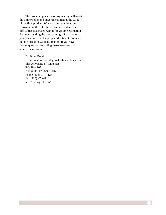The proper application of log scaling will assist the timber seller and buyer in estimating the value of the final product. When scaling saw logs, be consistent in the rule chosen and understand the difficulties associated with it for volume estimation. By understanding the shortcomings of each rule, you can assure that the proper adjustments are made in the process of value estimation. If you have further questions regarding these measures and values please contact:

Dr. Brian Bond Department of Forestry, Wildlife and Fisheries The University of Tennessee P.O. Box 1071 Knoxville, TN 37901-1071 Phone (423) 974-7126 Fax (423) 974-4714 http://fwf.ag.utk.edu/